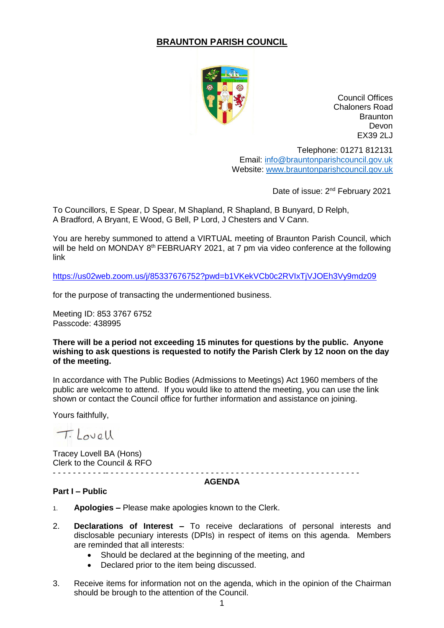# **BRAUNTON PARISH COUNCIL**



Council Offices Chaloners Road **Braunton** Devon EX39 2LJ

Telephone: 01271 812131 Email: [info@brauntonparishcouncil.gov.uk](mailto:info@brauntonparishcouncil.gov.uk) Website: [www.brauntonparishcouncil.gov.uk](http://www.brauntonparishcouncil.gov.uk/)

Date of issue: 2<sup>nd</sup> February 2021

To Councillors, E Spear, D Spear, M Shapland, R Shapland, B Bunyard, D Relph, A Bradford, A Bryant, E Wood, G Bell, P Lord, J Chesters and V Cann.

You are hereby summoned to attend a VIRTUAL meeting of Braunton Parish Council, which will be held on MONDAY 8<sup>th</sup> FEBRUARY 2021, at 7 pm via video conference at the following link

<https://us02web.zoom.us/j/85337676752?pwd=b1VKekVCb0c2RVIxTjVJOEh3Vy9mdz09>

for the purpose of transacting the undermentioned business.

Meeting ID: 853 3767 6752 Passcode: 438995

#### **There will be a period not exceeding 15 minutes for questions by the public. Anyone wishing to ask questions is requested to notify the Parish Clerk by 12 noon on the day of the meeting.**

In accordance with The Public Bodies (Admissions to Meetings) Act 1960 members of the public are welcome to attend. If you would like to attend the meeting, you can use the link shown or contact the Council office for further information and assistance on joining.

Yours faithfully,

T. Lovell

Tracey Lovell BA (Hons) Clerk to the Council & RFO - - - - - - - - - - -- - - - - - - - - - - - - - - - - - - - - - - - - - - - - - - - - - - - - - - - - - - - - - - - - - -

#### **AGENDA**

### **Part I – Public**

- 1. **Apologies –** Please make apologies known to the Clerk.
- 2. **Declarations of Interest –** To receive declarations of personal interests and disclosable pecuniary interests (DPIs) in respect of items on this agenda. Members are reminded that all interests:
	- Should be declared at the beginning of the meeting, and
	- Declared prior to the item being discussed.
- 3. Receive items for information not on the agenda, which in the opinion of the Chairman should be brough to the attention of the Council.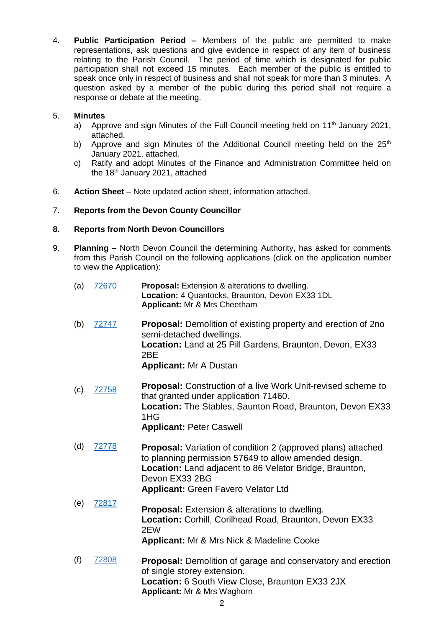4. **Public Participation Period –** Members of the public are permitted to make representations, ask questions and give evidence in respect of any item of business relating to the Parish Council. The period of time which is designated for public participation shall not exceed 15 minutes. Each member of the public is entitled to speak once only in respect of business and shall not speak for more than 3 minutes. A question asked by a member of the public during this period shall not require a response or debate at the meeting.

## 5. **Minutes**

- a) Approve and sign Minutes of the Full Council meeting held on 11<sup>th</sup> January 2021, attached.
- b) Approve and sign Minutes of the Additional Council meeting held on the  $25<sup>th</sup>$ January 2021, attached.
- c) Ratify and adopt Minutes of the Finance and Administration Committee held on the 18<sup>th</sup> January 2021, attached
- 6. **Action Sheet** Note updated action sheet, information attached.

## 7. **Reports from the Devon County Councillor**

## **8. Reports from North Devon Councillors**

9. **Planning –** North Devon Council the determining Authority, has asked for comments from this Parish Council on the following applications (click on the application number to view the Application):

| (a) | 72670 | <b>Proposal:</b> Extension & alterations to dwelling.<br>Location: 4 Quantocks, Braunton, Devon EX33 1DL<br><b>Applicant: Mr &amp; Mrs Cheetham</b>                                                                                                     |
|-----|-------|---------------------------------------------------------------------------------------------------------------------------------------------------------------------------------------------------------------------------------------------------------|
| (b) | 72747 | <b>Proposal:</b> Demolition of existing property and erection of 2no<br>semi-detached dwellings.<br>Location: Land at 25 Pill Gardens, Braunton, Devon, EX33<br>2BE<br><b>Applicant: Mr A Dustan</b>                                                    |
| (c) | 72758 | <b>Proposal:</b> Construction of a live Work Unit-revised scheme to<br>that granted under application 71460.<br><b>Location:</b> The Stables, Saunton Road, Braunton, Devon EX33<br>1HG<br><b>Applicant: Peter Caswell</b>                              |
| (d) | 72778 | Proposal: Variation of condition 2 (approved plans) attached<br>to planning permission 57649 to allow amended design.<br><b>Location:</b> Land adjacent to 86 Velator Bridge, Braunton,<br>Devon EX33 2BG<br><b>Applicant: Green Favero Velator Ltd</b> |
| (e) | 72817 | <b>Proposal:</b> Extension & alterations to dwelling.<br>Location: Corhill, Corilhead Road, Braunton, Devon EX33<br>2EW<br><b>Applicant: Mr &amp; Mrs Nick &amp; Madeline Cooke</b>                                                                     |
| (f) | 72808 | <b>Proposal:</b> Demolition of garage and conservatory and erection                                                                                                                                                                                     |

**Proposal:** Demolition of garage and conservatory and erection of single storey extension. **Location:** 6 South View Close, Braunton EX33 2JX **Applicant:** Mr & Mrs Waghorn